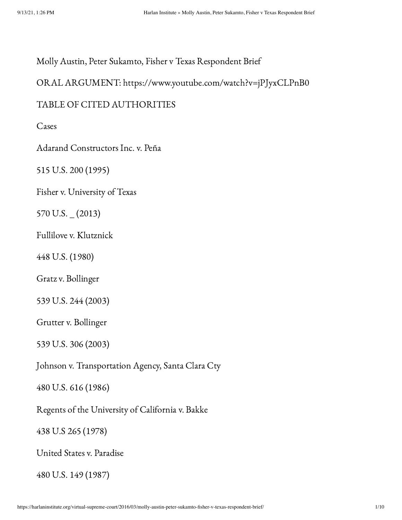Molly Austin, Peter Sukamto, Fisher v Texas Respondent Brief

ORAL ARGUMENT: https://www.youtube.com/watch?v=jPJyxCLPnB0

#### TABLE OF CITED AUTHORITIES

Cases

Adarand Constructors Inc. v. Peña

515 U.S. 200 (1995)

Fisher v. University of Texas

570 U.S. \_ (2013)

Fullilove v. Klutznick

448 U.S. (1980)

Gratz v. Bollinger

539 U.S. 244 (2003)

Grutter v. Bollinger

539 U.S. 306 (2003)

Johnson v. Transportation Agency, Santa Clara Cty

480 U.S. 616 (1986)

Regents of the University of California v. Bakke

438 U.S 265 (1978)

United States v. Paradise

480 U.S. 149 (1987)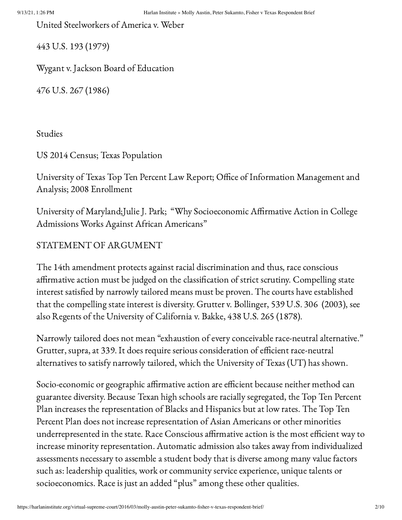United Steelworkers of America v. Weber

443 U.S. 193 (1979)

Wygant v. Jackson Board of Education

476 U.S. 267 (1986)

Studies

US 2014 Census; Texas Population

University of Texas Top Ten Percent Law Report; Office of Information Management and Analysis; 2008 Enrollment

University of Maryland;Julie J. Park; "Why Socioeconomic Affirmative Action in College Admissions Works Against African Americans"

### STATEMENT OF ARGUMENT

The 14th amendment protects against racial discrimination and thus, race conscious affirmative action must be judged on the classification of strict scrutiny. Compelling state interest satisfied by narrowly tailored means must be proven. The courts have established that the compelling state interest is diversity. Grutter v. Bollinger, 539 U.S. 306 (2003), see also Regents of the University of California v. Bakke, 438 U.S. 265 (1878).

Narrowly tailored does not mean "exhaustion of every conceivable race-neutral alternative." Grutter, supra, at 339. It does require serious consideration of efficient race-neutral alternatives to satisfy narrowly tailored, which the University of Texas (UT) has shown.

Socio-economic or geographic affirmative action are efficient because neither method can guarantee diversity. Because Texan high schools are racially segregated, the Top Ten Percent Plan increases the representation of Blacks and Hispanics but at low rates. The Top Ten Percent Plan does not increase representation of Asian Americans or other minorities underrepresented in the state. Race Conscious affirmative action is the most efficient way to increase minority representation. Automatic admission also takes away from individualized assessments necessary to assemble a student body that is diverse among many value factors such as: leadership qualities, work or community service experience, unique talents or socioeconomics. Race is just an added "plus" among these other qualities.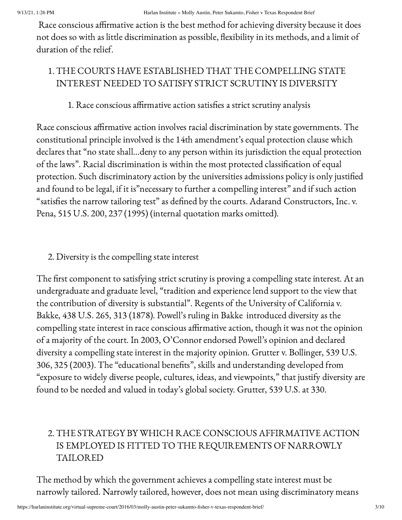Race conscious affirmative action is the best method for achieving diversity because it does not does so with as little discrimination as possible, flexibility in its methods, and a limit of duration of the relief.

# 1. THE COURTS HAVE ESTABLISHED THAT THE COMPELLING STATE INTEREST NEEDED TO SATISFY STRICT SCRUTINY IS DIVERSITY

## 1. Race conscious affirmative action satisfies a strict scrutiny analysis

Race conscious affirmative action involves racial discrimination by state governments. The constitutional principle involved is the 14th amendment's equal protection clause which declares that "no state shall…deny to any person within its jurisdiction the equal protection of the laws". Racial discrimination is within the most protected classification of equal protection. Such discriminatory action by the universities admissions policy is only justified and found to be legal, if it is"necessary to further a compelling interest" and if such action "satisfies the narrow tailoring test" as defined by the courts. Adarand Constructors, Inc. v. Pena, 515 U.S. 200, 237 (1995) (internal quotation marks omitted).

### 2. Diversity is the compelling state interest

The first component to satisfying strict scrutiny is proving a compelling state interest. At an undergraduate and graduate level, "tradition and experience lend support to the view that the contribution of diversity is substantial". Regents of the University of California v. Bakke, 438 U.S. 265, 313 (1878). Powell's ruling in Bakke introduced diversity as the compelling state interest in race conscious affirmative action, though it was not the opinion of a majority of the court. In 2003, O'Connor endorsed Powell's opinion and declared diversity a compelling state interest in the majority opinion. Grutter v. Bollinger, 539 U.S. 306, 325 (2003). The "educational benefits", skills and understanding developed from "exposure to widely diverse people, cultures, ideas, and viewpoints," that justify diversity are found to be needed and valued in today's global society. Grutter, 539 U.S. at 330.

# 2. THE STRATEGY BY WHICH RACE CONSCIOUS AFFIRMATIVE ACTION IS EMPLOYED IS FITTED TO THE REQUIREMENTS OF NARROWLY TAILORED

The method by which the government achieves a compelling state interest must be narrowly tailored. Narrowly tailored, however, does not mean using discriminatory means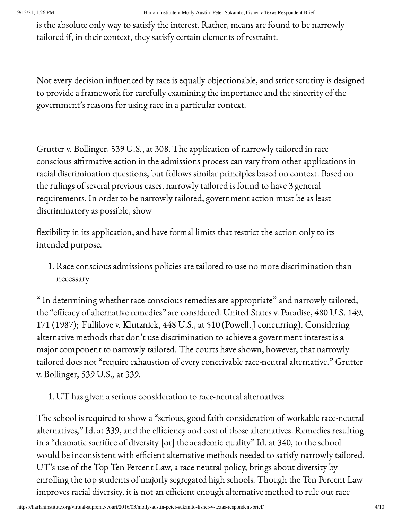is the absolute only way to satisfy the interest. Rather, means are found to be narrowly tailored if, in their context, they satisfy certain elements of restraint.

Not every decision influenced by race is equally objectionable, and strict scrutiny is designed to provide a framework for carefully examining the importance and the sincerity of the government's reasons for using race in a particular context.

Grutter v. Bollinger, 539 U.S., at 308. The application of narrowly tailored in race conscious affirmative action in the admissions process can vary from other applications in racial discrimination questions, but follows similar principles based on context. Based on the rulings of several previous cases, narrowly tailored is found to have 3 general requirements. In order to be narrowly tailored, government action must be as least discriminatory as possible, show

flexibility in its application, and have formal limits that restrict the action only to its intended purpose.

1. Race conscious admissions policies are tailored to use no more discrimination than necessary

" In determining whether race-conscious remedies are appropriate" and narrowly tailored, the "efficacy of alternative remedies" are considered. United States v. Paradise, 480 U.S. 149, 171 (1987); Fullilove v. Klutznick, 448 U.S., at 510 (Powell, J concurring). Considering alternative methods that don't use discrimination to achieve a government interest is a major component to narrowly tailored. The courts have shown, however, that narrowly tailored does not "require exhaustion of every conceivable race-neutral alternative." Grutter v. Bollinger, 539 U.S., at 339.

1. UT has given a serious consideration to race-neutral alternatives

The school is required to show a "serious, good faith consideration of workable race-neutral alternatives," Id. at 339, and the efficiency and cost of those alternatives. Remedies resulting in a "dramatic sacrifice of diversity [or] the academic quality" Id. at 340, to the school would be inconsistent with efficient alternative methods needed to satisfy narrowly tailored. UT's use of the Top Ten Percent Law, a race neutral policy, brings about diversity by enrolling the top students of majorly segregated high schools. Though the Ten Percent Law improves racial diversity, it is not an efficient enough alternative method to rule out race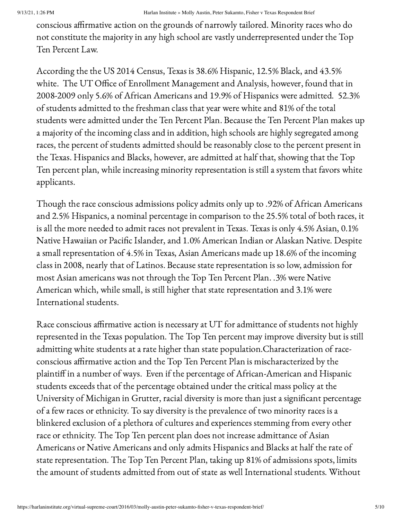conscious affirmative action on the grounds of narrowly tailored. Minority races who do not constitute the majority in any high school are vastly underrepresented under the Top Ten Percent Law.

According the the US 2014 Census, Texas is 38.6% Hispanic, 12.5% Black, and 43.5% white. The UT Office of Enrollment Management and Analysis, however, found that in 2008-2009 only 5.6% of African Americans and 19.9% of Hispanics were admitted. 52.3% of students admitted to the freshman class that year were white and 81% of the total students were admitted under the Ten Percent Plan. Because the Ten Percent Plan makes up a majority of the incoming class and in addition, high schools are highly segregated among races, the percent of students admitted should be reasonably close to the percent present in the Texas. Hispanics and Blacks, however, are admitted at half that, showing that the Top Ten percent plan, while increasing minority representation is still a system that favors white applicants.

Though the race conscious admissions policy admits only up to .92% of African Americans and 2.5% Hispanics, a nominal percentage in comparison to the 25.5% total of both races, it is all the more needed to admit races not prevalent in Texas. Texas is only 4.5% Asian, 0.1% Native Hawaiian or Pacific Islander, and 1.0% American Indian or Alaskan Native. Despite a small representation of 4.5% in Texas, Asian Americans made up 18.6% of the incoming class in 2008, nearly that of Latinos. Because state representation is so low, admission for most Asian americans was not through the Top Ten Percent Plan. .3% were Native American which, while small, is still higher that state representation and 3.1% were International students.

Race conscious affirmative action is necessary at UT for admittance of students not highly represented in the Texas population. The Top Ten percent may improve diversity but is still admitting white students at a rate higher than state population.Characterization of raceconscious affirmative action and the Top Ten Percent Plan is mischaracterized by the plaintiff in a number of ways. Even if the percentage of African-American and Hispanic students exceeds that of the percentage obtained under the critical mass policy at the University of Michigan in Grutter, racial diversity is more than just a significant percentage of a few races or ethnicity. To say diversity is the prevalence of two minority races is a blinkered exclusion of a plethora of cultures and experiences stemming from every other race or ethnicity. The Top Ten percent plan does not increase admittance of Asian Americans or Native Americans and only admits Hispanics and Blacks at half the rate of state representation. The Top Ten Percent Plan, taking up 81% of admissions spots, limits the amount of students admitted from out of state as well International students. Without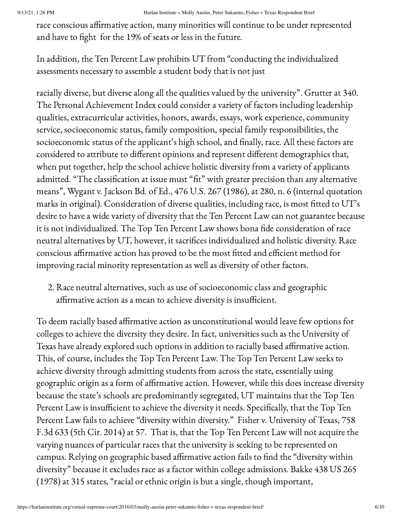race conscious affirmative action, many minorities will continue to be under represented and have to fight for the 19% of seats or less in the future.

In addition, the Ten Percent Law prohibits UT from "conducting the individualized assessments necessary to assemble a student body that is not just

racially diverse, but diverse along all the qualities valued by the university". Grutter at 340. The Personal Achievement Index could consider a variety of factors including leadership qualities, extracurricular activities, honors, awards, essays, work experience, community service, socioeconomic status, family composition, special family responsibilities, the socioeconomic status of the applicant's high school, and finally, race. All these factors are considered to attribute to different opinions and represent different demographics that, when put together, help the school achieve holistic diversity from a variety of applicants admitted. "The classification at issue must "fit" with greater precision than any alternative means", Wygant v. Jackson Bd. of Ed., 476 U.S. 267 (1986), at 280, n. 6 (internal quotation marks in original). Consideration of diverse qualities, including race, is most fitted to UT's desire to have a wide variety of diversity that the Ten Percent Law can not guarantee because it is not individualized. The Top Ten Percent Law shows bona fide consideration of race neutral alternatives by UT, however, it sacrifices individualized and holistic diversity. Race conscious affirmative action has proved to be the most fitted and efficient method for improving racial minority representation as well as diversity of other factors.

2. Race neutral alternatives, such as use of socioeconomic class and geographic affirmative action as a mean to achieve diversity is insufficient.

To deem racially based affirmative action as unconstitutional would leave few options for colleges to achieve the diversity they desire. In fact, universities such as the University of Texas have already explored such options in addition to racially based affirmative action. This, of course, includes the Top Ten Percent Law. The Top Ten Percent Law seeks to achieve diversity through admitting students from across the state, essentially using geographic origin as a form of affirmative action. However, while this does increase diversity because the state's schools are predominantly segregated, UT maintains that the Top Ten Percent Law is insufficient to achieve the diversity it needs. Specifically, that the Top Ten Percent Law fails to achieve "diversity within diversity." Fisher v. University of Texas, 758 F.3d 633 (5th Cir. 2014) at 57. That is, that the Top Ten Percent Law will not acquire the varying nuances of particular races that the university is seeking to be represented on campus. Relying on geographic based affirmative action fails to find the "diversity within diversity" because it excludes race as a factor within college admissions. Bakke 438 US 265 (1978) at 315 states, "racial or ethnic origin is but a single, though important,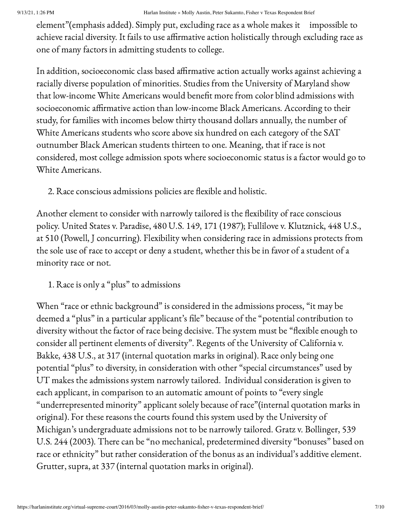element"(emphasis added). Simply put, excluding race as a whole makes it impossible to achieve racial diversity. It fails to use affirmative action holistically through excluding race as one of many factors in admitting students to college.

In addition, socioeconomic class based affirmative action actually works against achieving a racially diverse population of minorities. Studies from the University of Maryland show that low-income White Americans would benefit more from color blind admissions with socioeconomic affirmative action than low-income Black Americans. According to their study, for families with incomes below thirty thousand dollars annually, the number of White Americans students who score above six hundred on each category of the SAT outnumber Black American students thirteen to one. Meaning, that if race is not considered, most college admission spots where socioeconomic status is a factor would go to White Americans.

2. Race conscious admissions policies are flexible and holistic.

Another element to consider with narrowly tailored is the flexibility of race conscious policy. United States v. Paradise, 480 U.S. 149, 171 (1987); Fullilove v. Klutznick, 448 U.S., at 510 (Powell, J concurring). Flexibility when considering race in admissions protects from the sole use of race to accept or deny a student, whether this be in favor of a student of a minority race or not.

1. Race is only a "plus" to admissions

When "race or ethnic background" is considered in the admissions process, "it may be deemed a "plus" in a particular applicant's file" because of the "potential contribution to diversity without the factor of race being decisive. The system must be "flexible enough to consider all pertinent elements of diversity". Regents of the University of California v. Bakke, 438 U.S., at 317 (internal quotation marks in original). Race only being one potential "plus" to diversity, in consideration with other "special circumstances" used by UT makes the admissions system narrowly tailored. Individual consideration is given to each applicant, in comparison to an automatic amount of points to "every single "underrepresented minority" applicant solely because of race"(internal quotation marks in original). For these reasons the courts found this system used by the University of Michigan's undergraduate admissions not to be narrowly tailored. Gratz v. Bollinger, 539 U.S. 244 (2003). There can be "no mechanical, predetermined diversity "bonuses" based on race or ethnicity" but rather consideration of the bonus as an individual's additive element. Grutter, supra, at 337 (internal quotation marks in original).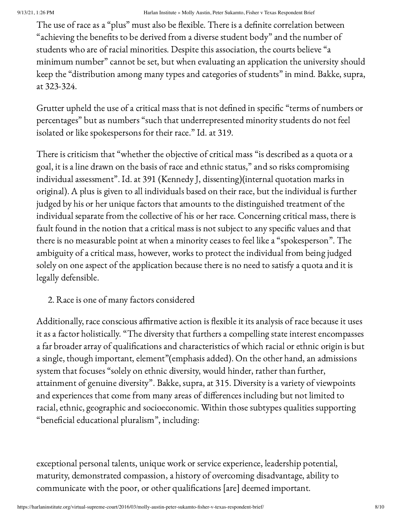The use of race as a "plus" must also be flexible. There is a definite correlation between "achieving the benefits to be derived from a diverse student body" and the number of students who are of racial minorities. Despite this association, the courts believe "a minimum number" cannot be set, but when evaluating an application the university should keep the "distribution among many types and categories of students" in mind. Bakke, supra, at 323-324.

Grutter upheld the use of a critical mass that is not defined in specific "terms of numbers or percentages" but as numbers "such that underrepresented minority students do not feel isolated or like spokespersons for their race." Id. at 319.

There is criticism that "whether the objective of critical mass "is described as a quota or a goal, it is a line drawn on the basis of race and ethnic status," and so risks compromising individual assessment". Id. at 391 (Kennedy J, dissenting)(internal quotation marks in original). A plus is given to all individuals based on their race, but the individual is further judged by his or her unique factors that amounts to the distinguished treatment of the individual separate from the collective of his or her race. Concerning critical mass, there is fault found in the notion that a critical mass is not subject to any specific values and that there is no measurable point at when a minority ceases to feel like a "spokesperson". The ambiguity of a critical mass, however, works to protect the individual from being judged solely on one aspect of the application because there is no need to satisfy a quota and it is legally defensible.

2. Race is one of many factors considered

Additionally, race conscious affirmative action is flexible it its analysis of race because it uses it as a factor holistically. "The diversity that furthers a compelling state interest encompasses a far broader array of qualifications and characteristics of which racial or ethnic origin is but a single, though important, element"(emphasis added). On the other hand, an admissions system that focuses "solely on ethnic diversity, would hinder, rather than further, attainment of genuine diversity". Bakke, supra, at 315. Diversity is a variety of viewpoints and experiences that come from many areas of differences including but not limited to racial, ethnic, geographic and socioeconomic. Within those subtypes qualities supporting "beneficial educational pluralism", including:

exceptional personal talents, unique work or service experience, leadership potential, maturity, demonstrated compassion, a history of overcoming disadvantage, ability to communicate with the poor, or other qualifications [are] deemed important.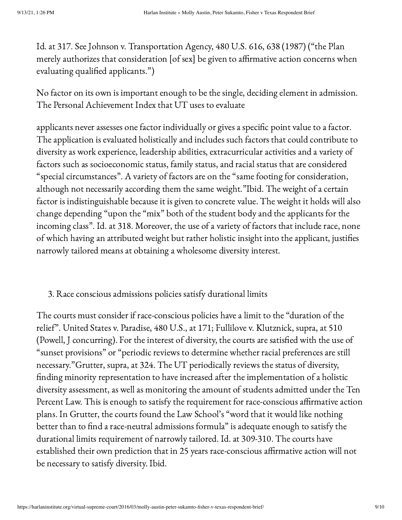Id. at 317. See Johnson v. Transportation Agency, 480 U.S. 616, 638 (1987) ("the Plan merely authorizes that consideration [of sex] be given to affirmative action concerns when evaluating qualified applicants.")

No factor on its own is important enough to be the single, deciding element in admission. The Personal Achievement Index that UT uses to evaluate

applicants never assesses one factor individually or gives a specific point value to a factor. The application is evaluated holistically and includes such factors that could contribute to diversity as work experience, leadership abilities, extracurricular activities and a variety of factors such as socioeconomic status, family status, and racial status that are considered "special circumstances". A variety of factors are on the "same footing for consideration, although not necessarily according them the same weight."Ibid. The weight of a certain factor is indistinguishable because it is given to concrete value. The weight it holds will also change depending "upon the "mix" both of the student body and the applicants for the incoming class". Id. at 318. Moreover, the use of a variety of factors that include race, none of which having an attributed weight but rather holistic insight into the applicant, justifies narrowly tailored means at obtaining a wholesome diversity interest.

#### 3. Race conscious admissions policies satisfy durational limits

The courts must consider if race-conscious policies have a limit to the "duration of the relief". United States v. Paradise, 480 U.S., at 171; Fullilove v. Klutznick, supra, at 510 (Powell, J concurring). For the interest of diversity, the courts are satisfied with the use of "sunset provisions" or "periodic reviews to determine whether racial preferences are still necessary."Grutter, supra, at 324. The UT periodically reviews the status of diversity, finding minority representation to have increased after the implementation of a holistic diversity assessment, as well as monitoring the amount of students admitted under the Ten Percent Law. This is enough to satisfy the requirement for race-conscious affirmative action plans. In Grutter, the courts found the Law School's "word that it would like nothing better than to find a race-neutral admissions formula" is adequate enough to satisfy the durational limits requirement of narrowly tailored. Id. at 309-310. The courts have established their own prediction that in 25 years race-conscious affirmative action will not be necessary to satisfy diversity. Ibid.